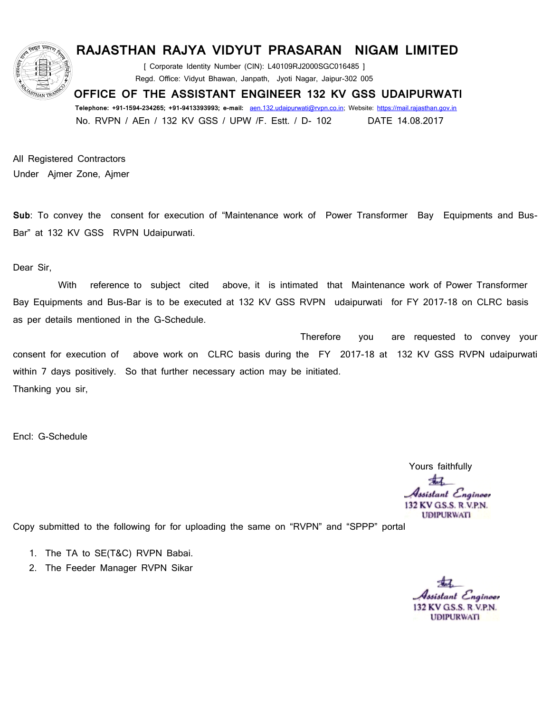

## **RAJASTHAN RAJYA VIDYUT PRASARAN NIGAM LIMITED**

[ Corporate Identity Number (CIN): L40109RJ2000SGC016485 ] Regd. Office: Vidyut Bhawan, Janpath, Jyoti Nagar, Jaipur-302 005

 **OFFICE OF THE ASSISTANT ENGINEER 132 KV GSS UDAIPURWATI** 

 **Telephone: +91-1594-234265; +91-9413393993; e-mail:** [aen.132.udaipurwati@rvpn.co.in;](mailto:aen.132.udaipurwati@rvpn.co.in) Website: [https://mail.rajasthan.gov.in](https://mail.rajasthan.gov.in/) No. RVPN / AEn / 132 KV GSS / UPW /F. Estt. / D- 102 DATE 14.08.2017

All Registered Contractors Under Ajmer Zone, Ajmer

**Sub**: To convey the consent for execution of "Maintenance work of Power Transformer Bay Equipments and Bus-Bar" at 132 KV GSS RVPN Udaipurwati.

Dear Sir,

 With reference to subject cited above, it is intimated that Maintenance work of Power Transformer Bay Equipments and Bus-Bar is to be executed at 132 KV GSS RVPN udaipurwati for FY 2017-18 on CLRC basis as per details mentioned in the G-Schedule.

 Therefore you are requested to convey your consent for execution of above work on CLRC basis during the FY 2017-18 at 132 KV GSS RVPN udaipurwati within 7 days positively. So that further necessary action may be initiated. Thanking you sir,

Encl: G-Schedule

 Yours faithfully -17 Assistant Engineer 132 KV G.S.S. R.V.P.N. **UDIPURWATI** 

Copy submitted to the following for for uploading the same on "RVPN" and "SPPP" portal

- 1. The TA to SE(T&C) RVPN Babai.
- 2. The Feeder Manager RVPN Sikar

stant Engineer 132 KV G.S.S. R.V.P.N. **UDIPURWATI**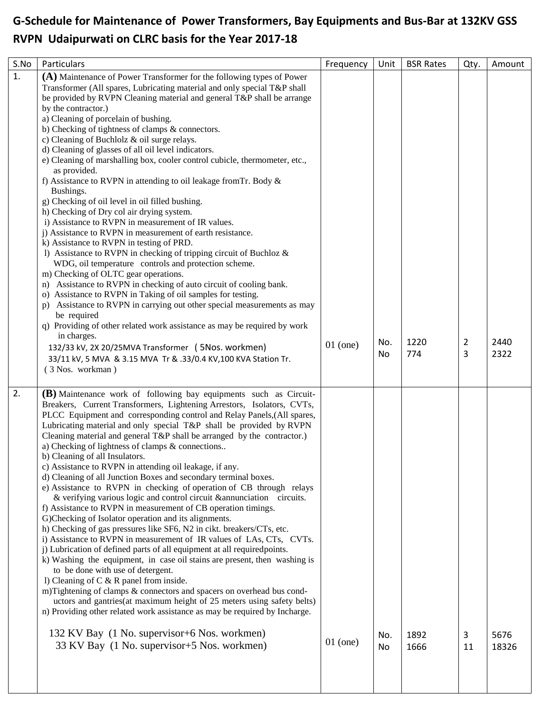## **G-Schedule for Maintenance of Power Transformers, Bay Equipments and Bus-Bar at 132KV GSS RVPN Udaipurwati on CLRC basis for the Year 2017-18**

| S.No | Particulars                                                                                                                                                                                                                                                                                                                                                                                                                                                                                                                                                                                                                                                                                                                                                                                                                                                                                                                                                                                                                                                                                                                                                                                                                                                                                                                                                                                                                                                                                          | Frequency  | Unit      | <b>BSR Rates</b> | Qty.    | Amount        |
|------|------------------------------------------------------------------------------------------------------------------------------------------------------------------------------------------------------------------------------------------------------------------------------------------------------------------------------------------------------------------------------------------------------------------------------------------------------------------------------------------------------------------------------------------------------------------------------------------------------------------------------------------------------------------------------------------------------------------------------------------------------------------------------------------------------------------------------------------------------------------------------------------------------------------------------------------------------------------------------------------------------------------------------------------------------------------------------------------------------------------------------------------------------------------------------------------------------------------------------------------------------------------------------------------------------------------------------------------------------------------------------------------------------------------------------------------------------------------------------------------------------|------------|-----------|------------------|---------|---------------|
| 1.   | (A) Maintenance of Power Transformer for the following types of Power<br>Transformer (All spares, Lubricating material and only special T&P shall<br>be provided by RVPN Cleaning material and general T&P shall be arrange<br>by the contractor.)<br>a) Cleaning of porcelain of bushing.<br>b) Checking of tightness of clamps & connectors.<br>c) Cleaning of Buchlolz & oil surge relays.<br>d) Cleaning of glasses of all oil level indicators.<br>e) Cleaning of marshalling box, cooler control cubicle, thermometer, etc.,<br>as provided.<br>f) Assistance to RVPN in attending to oil leakage from Tr. Body &<br>Bushings.<br>g) Checking of oil level in oil filled bushing.<br>h) Checking of Dry col air drying system.<br>i) Assistance to RVPN in measurement of IR values.<br>i) Assistance to RVPN in measurement of earth resistance.<br>k) Assistance to RVPN in testing of PRD.<br>1) Assistance to RVPN in checking of tripping circuit of Buchloz &<br>WDG, oil temperature controls and protection scheme.<br>m) Checking of OLTC gear operations.<br>n) Assistance to RVPN in checking of auto circuit of cooling bank.<br>o) Assistance to RVPN in Taking of oil samples for testing.<br>Assistance to RVPN in carrying out other special measurements as may<br>p)<br>be required<br>q) Providing of other related work assistance as may be required by work<br>in charges.                                                                                               |            |           | 1220             |         | 2440          |
|      | 132/33 kV, 2X 20/25MVA Transformer ( 5Nos. workmen)<br>33/11 kV, 5 MVA & 3.15 MVA Tr & .33/0.4 KV, 100 KVA Station Tr.<br>(3 Nos. workman)                                                                                                                                                                                                                                                                                                                                                                                                                                                                                                                                                                                                                                                                                                                                                                                                                                                                                                                                                                                                                                                                                                                                                                                                                                                                                                                                                           | $01$ (one) | No.<br>No | 774              | 2<br>3  | 2322          |
| 2.   | (B) Maintenance work of following bay equipments such as Circuit-<br>Breakers, Current Transformers, Lightening Arrestors, Isolators, CVTs,<br>PLCC Equipment and corresponding control and Relay Panels, (All spares,<br>Lubricating material and only special T&P shall be provided by RVPN<br>Cleaning material and general T&P shall be arranged by the contractor.)<br>a) Checking of lightness of clamps & connections<br>b) Cleaning of all Insulators.<br>c) Assistance to RVPN in attending oil leakage, if any.<br>d) Cleaning of all Junction Boxes and secondary terminal boxes.<br>e) Assistance to RVPN in checking of operation of CB through relays<br>& verifying various logic and control circuit & annunciation circuits.<br>f) Assistance to RVPN in measurement of CB operation timings.<br>G)Checking of Isolator operation and its alignments.<br>h) Checking of gas pressures like SF6, N2 in cikt. breakers/CTs, etc.<br>i) Assistance to RVPN in measurement of IR values of LAs, CTs, CVTs.<br>j) Lubrication of defined parts of all equipment at all required points.<br>k) Washing the equipment, in case oil stains are present, then washing is<br>to be done with use of detergent.<br>1) Cleaning of $C & R$ panel from inside.<br>m)Tightening of clamps & connectors and spacers on overhead bus cond-<br>uctors and gantries (at maximum height of 25 meters using safety belts)<br>n) Providing other related work assistance as may be required by Incharge. |            |           |                  |         |               |
|      | 132 KV Bay (1 No. supervisor+6 Nos. workmen)<br>33 KV Bay (1 No. supervisor+5 Nos. workmen)                                                                                                                                                                                                                                                                                                                                                                                                                                                                                                                                                                                                                                                                                                                                                                                                                                                                                                                                                                                                                                                                                                                                                                                                                                                                                                                                                                                                          | $01$ (one) | No.<br>No | 1892<br>1666     | 3<br>11 | 5676<br>18326 |